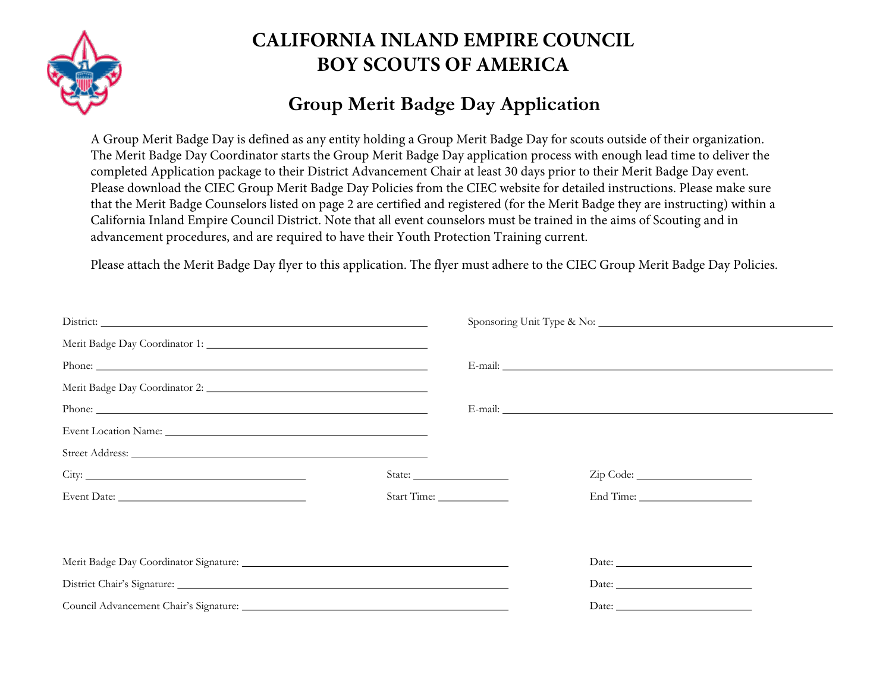

## **CALIFORNIA INLAND EMPIRE COUNCIL BOY SCOUTS OF AMERICA**

## **Group Merit Badge Day Application**

A Group Merit Badge Day is defined as any entity holding a Group Merit Badge Day for scouts outside of their organization. The Merit Badge Day Coordinator starts the Group Merit Badge Day application process with enough lead time to deliver the completed Application package to their District Advancement Chair at least 30 days prior to their Merit Badge Day event. Please download the CIEC Group Merit Badge Day Policies from the CIEC website for detailed instructions. Please make sure that the Merit Badge Counselors listed on page 2 are certified and registered (for the Merit Badge they are instructing) within a California Inland Empire Council District. Note that all event counselors must be trained in the aims of Scouting and in advancement procedures, and are required to have their Youth Protection Training current.

Please attach the Merit Badge Day flyer to this application. The flyer must adhere to the CIEC Group Merit Badge Day Policies.

| District: New York Changes and Changes and Changes and Changes and Changes and Changes and Changes and Changes and Changes and Changes and Changes and Changes and Changes and Changes and Changes and Changes and Changes and |                                                                                                      |                |  |
|--------------------------------------------------------------------------------------------------------------------------------------------------------------------------------------------------------------------------------|------------------------------------------------------------------------------------------------------|----------------|--|
|                                                                                                                                                                                                                                |                                                                                                      |                |  |
| Phone:                                                                                                                                                                                                                         |                                                                                                      |                |  |
|                                                                                                                                                                                                                                |                                                                                                      |                |  |
|                                                                                                                                                                                                                                |                                                                                                      |                |  |
| Event Location Name: Name Contract Contract Contract Contract Contract Contract Contract Contract Contract Contract Contract Contract Contract Contract Contract Contract Contract Contract Contract Contract Contract Contrac |                                                                                                      |                |  |
|                                                                                                                                                                                                                                |                                                                                                      |                |  |
|                                                                                                                                                                                                                                | State: $\frac{1}{\sqrt{1-\frac{1}{2}}\sqrt{1-\frac{1}{2}}\sqrt{1-\frac{1}{2}}\sqrt{1-\frac{1}{2}}}}$ | Zip Code: 2000 |  |
|                                                                                                                                                                                                                                |                                                                                                      |                |  |
|                                                                                                                                                                                                                                |                                                                                                      |                |  |
|                                                                                                                                                                                                                                |                                                                                                      |                |  |
|                                                                                                                                                                                                                                |                                                                                                      |                |  |
|                                                                                                                                                                                                                                |                                                                                                      |                |  |